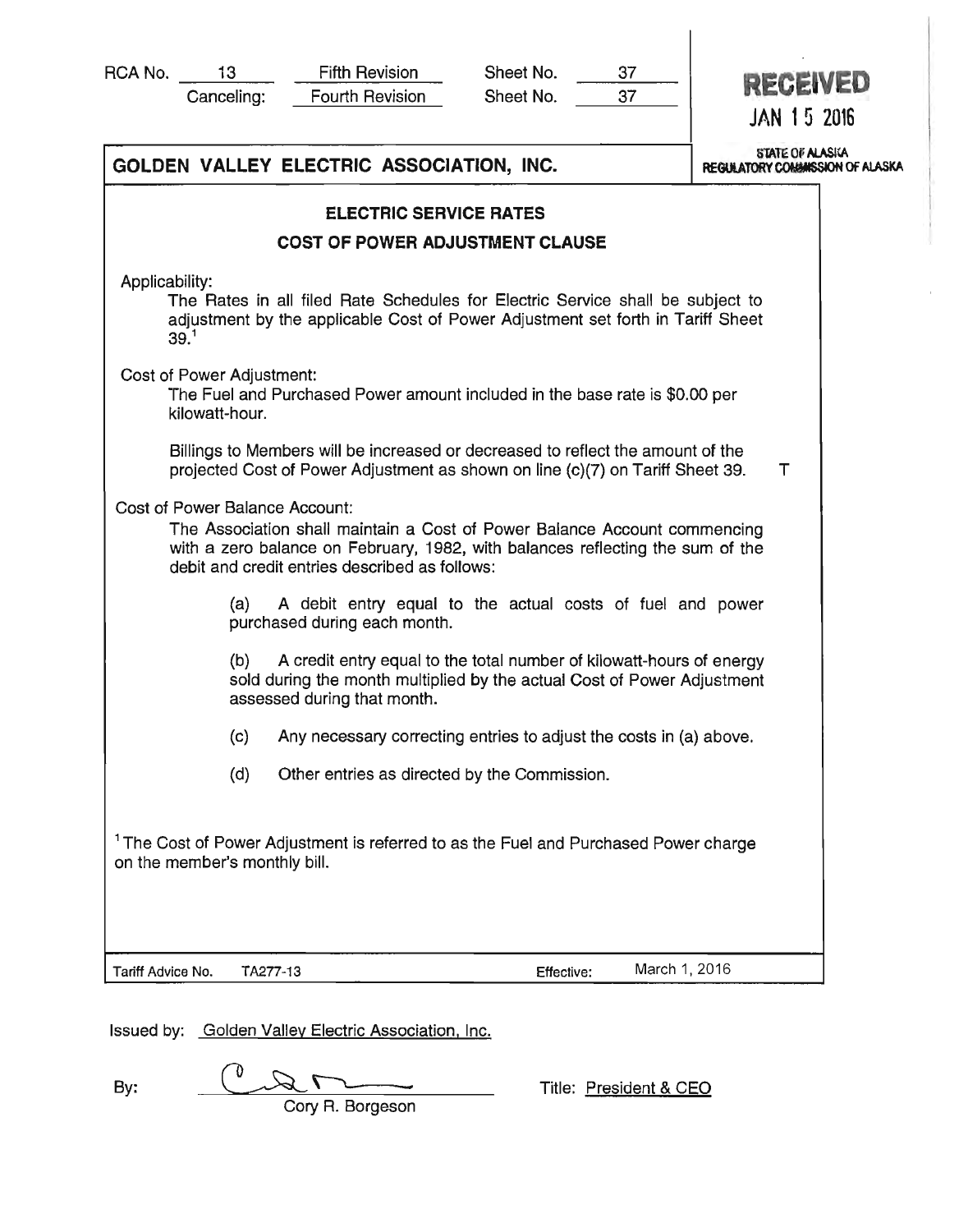| RCA No. |  |
|---------|--|
|         |  |

| 13.        | <b>Fifth Revision</b>  | Sheet No. |
|------------|------------------------|-----------|
| Canceling: | <b>Fourth Revision</b> | Sheet No. |

Sheet No.

<sup>37</sup>**RECEIVED JAN 1 5 2016** 

|                                                    | GOLDEN VALLEY ELECTRIC ASSOCIATION, INC.                                                                                                                                                                                                        | <b>STATE OF ALASKA</b><br>REGULATORY COMMISSION OF ALASKA |
|----------------------------------------------------|-------------------------------------------------------------------------------------------------------------------------------------------------------------------------------------------------------------------------------------------------|-----------------------------------------------------------|
|                                                    | <b>ELECTRIC SERVICE RATES</b>                                                                                                                                                                                                                   |                                                           |
|                                                    | <b>COST OF POWER ADJUSTMENT CLAUSE</b>                                                                                                                                                                                                          |                                                           |
| Applicability:<br>39. <sup>1</sup>                 | The Rates in all filed Rate Schedules for Electric Service shall be subject to<br>adjustment by the applicable Cost of Power Adjustment set forth in Tariff Sheet                                                                               |                                                           |
| <b>Cost of Power Adjustment:</b><br>kilowatt-hour. | The Fuel and Purchased Power amount included in the base rate is \$0.00 per                                                                                                                                                                     |                                                           |
|                                                    | Billings to Members will be increased or decreased to reflect the amount of the<br>projected Cost of Power Adjustment as shown on line (c)(7) on Tariff Sheet 39.                                                                               | Τ                                                         |
|                                                    | Cost of Power Balance Account:<br>The Association shall maintain a Cost of Power Balance Account commencing<br>with a zero balance on February, 1982, with balances reflecting the sum of the<br>debit and credit entries described as follows: |                                                           |
|                                                    | (a)<br>A debit entry equal to the actual costs of fuel and power<br>purchased during each month.                                                                                                                                                |                                                           |
|                                                    | (b)<br>A credit entry equal to the total number of kilowatt-hours of energy<br>sold during the month multiplied by the actual Cost of Power Adjustment<br>assessed during that month.                                                           |                                                           |
|                                                    | (c)<br>Any necessary correcting entries to adjust the costs in (a) above.                                                                                                                                                                       |                                                           |
|                                                    | (d)<br>Other entries as directed by the Commission.                                                                                                                                                                                             |                                                           |
| on the member's monthly bill.                      | <sup>1</sup> The Cost of Power Adjustment is referred to as the Fuel and Purchased Power charge                                                                                                                                                 |                                                           |
| Tariff Advice No.                                  | March 1, 2016<br>TA277-13<br>Effective:                                                                                                                                                                                                         |                                                           |

Issued by: Golden Valley Electric Association. Inc.

By: By: Title: <u>President & CEO</u> Cory R. Borgeson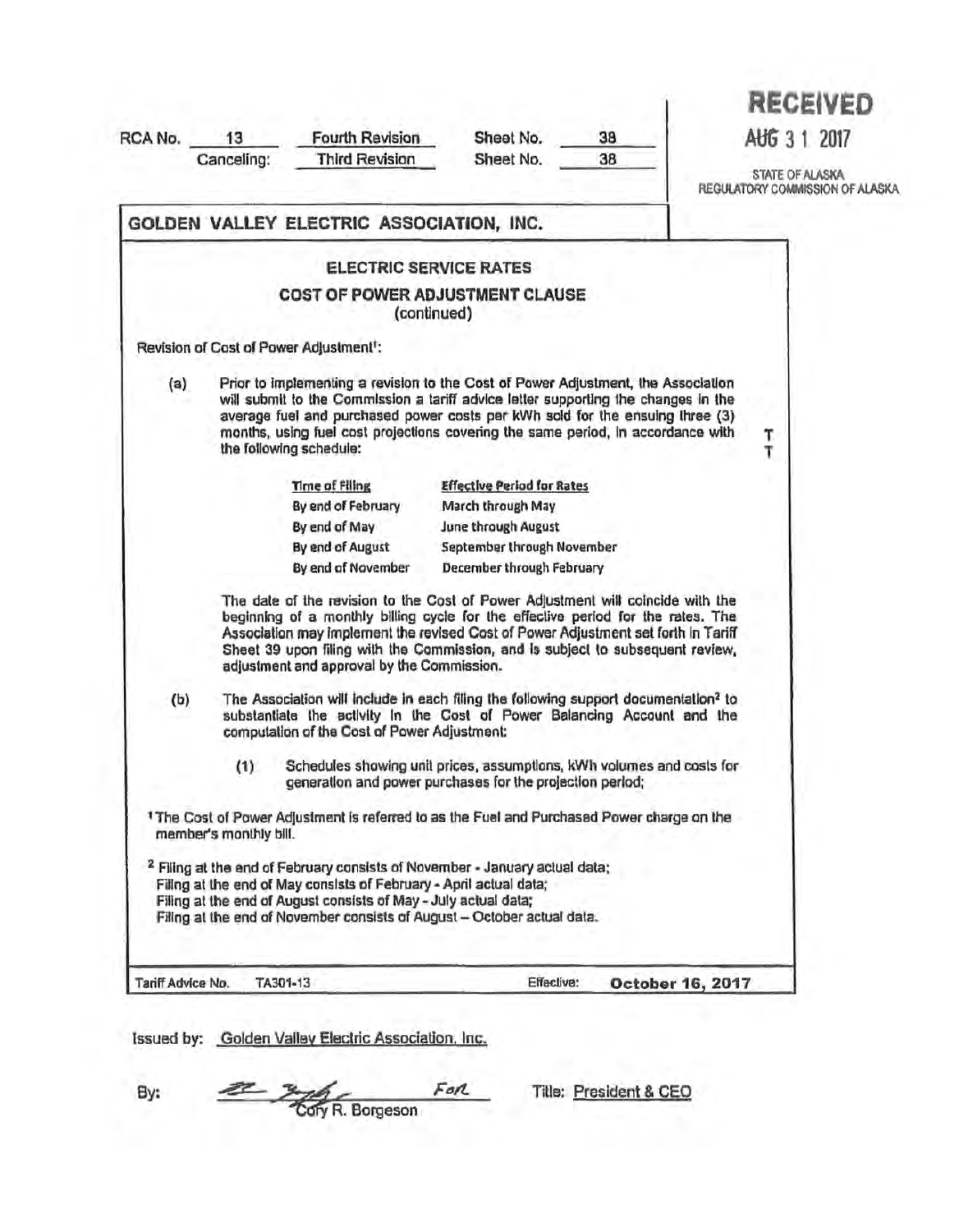| RCA No. | 13<br>Canceling:       | <b>Fourth Revision</b><br><b>Third Revision</b>                                                                                                                                                                                                                                                                                                                                           | Sheet No.<br>Sheet No.            | 38<br>38         | <b>RECEIVED</b><br>AUG 3 1 2017<br>STATE OF ALASKA<br>REGULATORY COMMISSION OF ALASKA |
|---------|------------------------|-------------------------------------------------------------------------------------------------------------------------------------------------------------------------------------------------------------------------------------------------------------------------------------------------------------------------------------------------------------------------------------------|-----------------------------------|------------------|---------------------------------------------------------------------------------------|
|         |                        | GOLDEN VALLEY ELECTRIC ASSOCIATION, INC.                                                                                                                                                                                                                                                                                                                                                  |                                   |                  |                                                                                       |
|         |                        | <b>ELECTRIC SERVICE RATES</b>                                                                                                                                                                                                                                                                                                                                                             |                                   |                  |                                                                                       |
|         |                        | <b>COST OF POWER ADJUSTMENT CLAUSE</b><br>(continued)                                                                                                                                                                                                                                                                                                                                     |                                   |                  |                                                                                       |
|         |                        | Revision of Cost of Power Adjustment <sup>t</sup> :                                                                                                                                                                                                                                                                                                                                       |                                   |                  |                                                                                       |
| (a)     |                        | Prior to implementing a revision to the Cost of Power Adjustment, the Association<br>will submit to the Commission a tariff advice letter supporting the changes in the<br>average fuel and purchased power costs per kWh sold for the ensuing three (3)<br>months, using fuel cost projections covering the same period, in accordance with<br>the following schedule:                   |                                   |                  | Τ.<br>T                                                                               |
|         |                        | Time of Filing                                                                                                                                                                                                                                                                                                                                                                            | <b>Effective Period for Rates</b> |                  |                                                                                       |
|         |                        | By end of February                                                                                                                                                                                                                                                                                                                                                                        | March through May                 |                  |                                                                                       |
|         |                        | By end of May                                                                                                                                                                                                                                                                                                                                                                             | June through August               |                  |                                                                                       |
|         |                        | By end of August                                                                                                                                                                                                                                                                                                                                                                          | September through November        |                  |                                                                                       |
|         |                        | By end of November                                                                                                                                                                                                                                                                                                                                                                        | December through February         |                  |                                                                                       |
|         |                        | The date of the revision to the Cost of Power Adjustment will coincide with the<br>beginning of a monthly billing cycle for the effective period for the rates. The<br>Association may implement the revised Cost of Power Adjustment set forth in Tariff<br>Sheet 39 upon filing with the Commission, and is subject to subsequent review.<br>adjustment and approval by the Commission. |                                   |                  |                                                                                       |
| (b)     |                        | The Association will include in each filing the following support documentation <sup>2</sup> to<br>substantiate the activity in the Cost of Power Balancing Account and the<br>computation of the Cost of Power Adjustment:                                                                                                                                                               |                                   |                  |                                                                                       |
|         | (1)                    | Schedules showing unit prices, assumptions, kWh volumes and costs for<br>generation and power purchases for the projection period;                                                                                                                                                                                                                                                        |                                   |                  |                                                                                       |
|         | member's monthly bill. | <sup>1</sup> The Cost of Power Adjustment is referred to as the Fuel and Purchased Power charge on the                                                                                                                                                                                                                                                                                    |                                   |                  |                                                                                       |
|         |                        | <sup>2</sup> Filing at the end of February consists of November - January actual data;<br>Filing at the end of May consists of February - April actual data;<br>Filing at the end of August consists of May - July actual data;<br>Filing at the end of November consists of August - October actual data.                                                                                |                                   |                  |                                                                                       |
|         | Tariff Advice No.      | TA301-13                                                                                                                                                                                                                                                                                                                                                                                  | Effective:                        | October 16, 2017 |                                                                                       |

*Cory R. Borgeson* 

By: 2 3 For File: President & CEO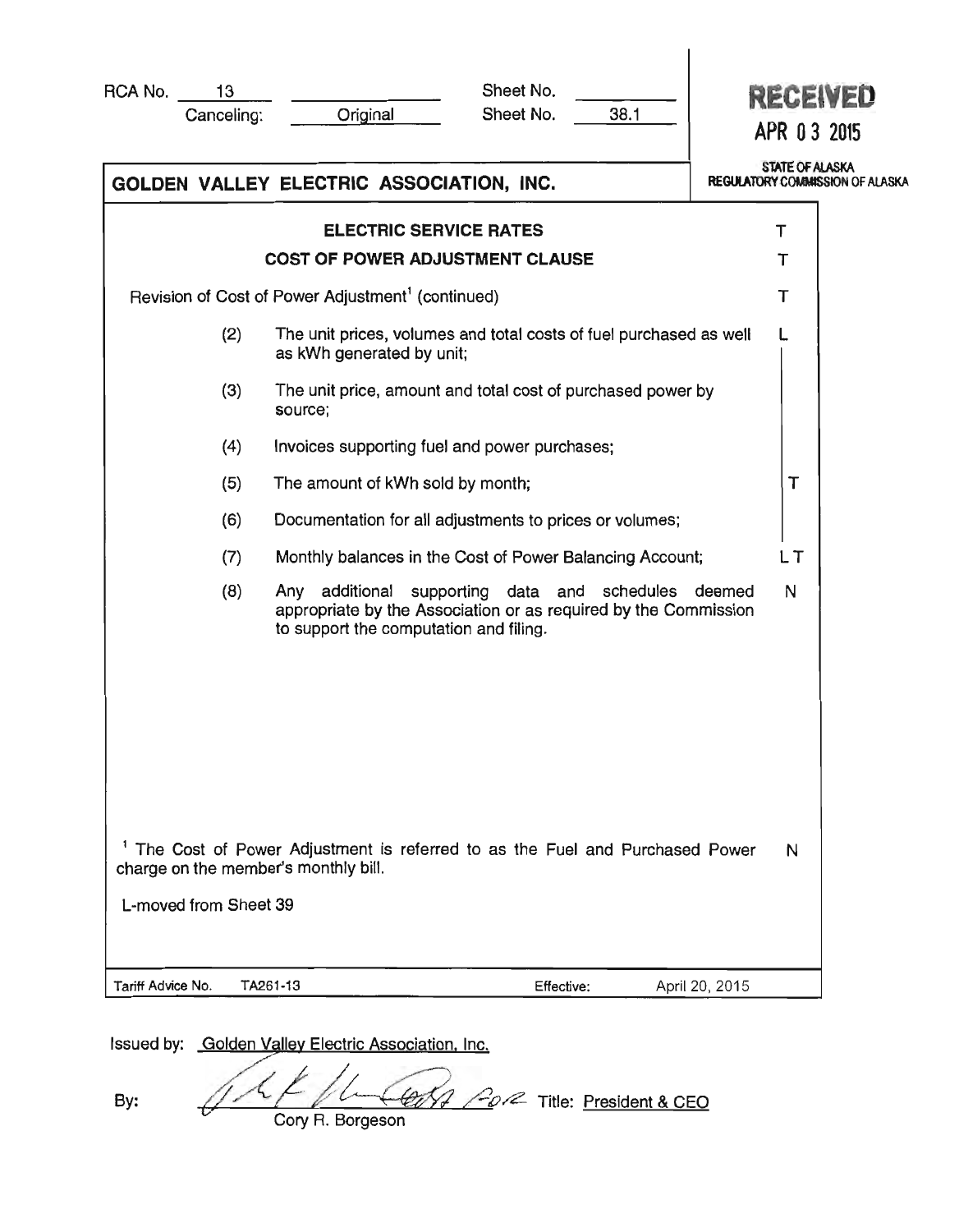| RCA No.           | 13<br>Canceling:      | Original                                                                                                                         | Sheet No.<br>Sheet No.                                                                                             | 38.1 |                | <b>RECEIVED</b><br>APR 03 2015                            |
|-------------------|-----------------------|----------------------------------------------------------------------------------------------------------------------------------|--------------------------------------------------------------------------------------------------------------------|------|----------------|-----------------------------------------------------------|
|                   |                       | GOLDEN VALLEY ELECTRIC ASSOCIATION, INC.                                                                                         |                                                                                                                    |      |                | <b>STATE OF ALASKA</b><br>REGULATORY COMMISSION OF ALASKA |
|                   |                       | <b>ELECTRIC SERVICE RATES</b>                                                                                                    |                                                                                                                    |      | т              |                                                           |
|                   |                       | <b>COST OF POWER ADJUSTMENT CLAUSE</b>                                                                                           |                                                                                                                    |      |                | т                                                         |
|                   |                       | Revision of Cost of Power Adjustment <sup>1</sup> (continued)                                                                    |                                                                                                                    |      |                | т                                                         |
|                   | (2)                   | as kWh generated by unit;                                                                                                        | The unit prices, volumes and total costs of fuel purchased as well                                                 |      |                |                                                           |
|                   | (3)                   | source;                                                                                                                          | The unit price, amount and total cost of purchased power by                                                        |      |                |                                                           |
|                   | (4)                   |                                                                                                                                  | Invoices supporting fuel and power purchases;                                                                      |      |                |                                                           |
|                   | (5)                   | The amount of kWh sold by month;                                                                                                 |                                                                                                                    |      |                | T                                                         |
|                   | (6)                   |                                                                                                                                  | Documentation for all adjustments to prices or volumes;                                                            |      |                |                                                           |
|                   | (7)                   |                                                                                                                                  | Monthly balances in the Cost of Power Balancing Account;                                                           |      |                | LΤ                                                        |
|                   | (8)                   | Any<br>to support the computation and filing.                                                                                    | additional supporting data and schedules deemed<br>appropriate by the Association or as required by the Commission |      |                | N                                                         |
|                   | L-moved from Sheet 39 | <sup>1</sup> The Cost of Power Adjustment is referred to as the Fuel and Purchased Power<br>charge on the member's monthly bill. |                                                                                                                    |      |                | N                                                         |
| Tariff Advice No. |                       | TA261-13                                                                                                                         | Effective:                                                                                                         |      | April 20, 2015 |                                                           |

Issued by: Golden Valley Electric Association, Inc.

By:  $\sqrt{47 \left(\frac{666}{4}\right)^2}$   $\frac{60}{2}$  Title: <u>President & CEO</u>